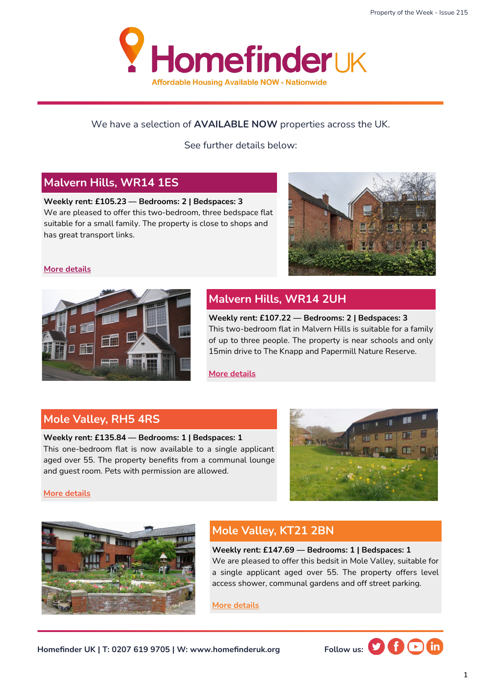

#### We have a selection of **AVAILABLE NOW** properties across the UK.

See further details below:

#### **Malvern Hills, WR14 1ES**

**Weekly rent: £105.23 — Bedrooms: 2 | Bedspaces: 3** We are pleased to offer this two-bedroom, three bedspace flat suitable for a small family. The property is close to shops and has great transport links.



#### **[More details](https://homefinderuk.org/property-detail/548424744-HF2001928)**



## **Malvern Hills, WR14 2UH**

**Weekly rent: £107.22 — Bedrooms: 2 | Bedspaces: 3**  This two-bedroom flat in Malvern Hills is suitable for a family of up to three people. The property is near schools and only 15min drive to The Knapp and Papermill Nature Reserve.

**[More details](https://homefinderuk.org/property-detail/548424762-HF2001930)**

#### **Mole Valley, RH5 4RS**

#### **Weekly rent: £135.84 — Bedrooms: 1 | Bedspaces: 1**

This one-bedroom flat is now available to a single applicant aged over 55. The property benefits from a communal lounge and guest room. Pets with permission are allowed.



**[More details](https://homefinderuk.org/property-detail/548076202-HF2001924)**



## **Mole Valley, KT21 2BN**

**Weekly rent: £147.69 — Bedrooms: 1 | Bedspaces: 1** We are pleased to offer this bedsit in Mole Valley, suitable for a single applicant aged over 55. The property offers level access shower, communal gardens and off street parking.

**[More details](https://homefinderuk.org/property-detail/548056883-HF2001919)**